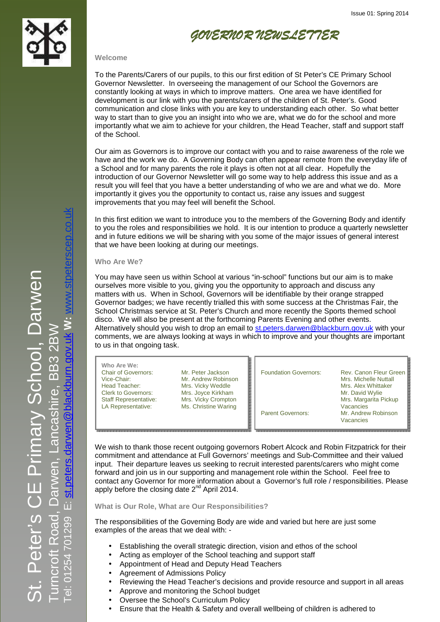



## **Welcome**

To the Parents/Carers of our pupils, to this our first edition of St Peter's CE Primary School Governor Newsletter. In overseeing the management of our School the Governors are constantly looking at ways in which to improve matters. One area we have identified for development is our link with you the parents/carers of the children of St. Peter's. Good communication and close links with you are key to understanding each other. So what better way to start than to give you an insight into who we are, what we do for the school and more importantly what we aim to achieve for your children, the Head Teacher, staff and support staff of the School.

Our aim as Governors is to improve our contact with you and to raise awareness of the role we have and the work we do. A Governing Body can often appear remote from the everyday life of a School and for many parents the role it plays is often not at all clear. Hopefully the introduction of our Governor Newsletter will go some way to help address this issue and as a result you will feel that you have a better understanding of who we are and what we do. More importantly it gives you the opportunity to contact us, raise any issues and suggest improvements that you may feel will benefit the School.

In this first edition we want to introduce you to the members of the Governing Body and identify to you the roles and responsibilities we hold. It is our intention to produce a quarterly newsletter and in future editions we will be sharing with you some of the major issues of general interest that we have been looking at during our meetings.

**Who Are We?**

You may have seen us within School at various "in-school" functions but our aim is to make ourselves more visible to you, giving you the opportunity to approach and discuss any matters with us. When in School, Governors will be identifiable by their orange strapped Governor badges; we have recently trialled this with some success at the Christmas Fair, the School Christmas service at St. Peter's Church and more recently the Sports themed school disco. We will also be present at the forthcoming Parents Evening and other events. Alternatively should you wish to drop an email to st.peters.darwen@blackburn.gov.uk with your comments, we are always looking at ways in which to improve and your thoughts are important to us in that ongoing task.

| Who Are We:<br><b>Chair of Governors:</b> | Mr. Peter Jackson    | <b>Foundation Governors:</b> | Rev. Canon Fleur Green |
|-------------------------------------------|----------------------|------------------------------|------------------------|
| Vice-Chair:                               | Mr. Andrew Robinson  |                              | Mrs. Michelle Nuttall  |
| Head Teacher:                             | Mrs. Vicky Weddle    |                              | Mrs. Alex Whittaker    |
| <b>Clerk to Governors:</b>                | Mrs. Joyce Kirkham   |                              | Mr. David Wylie        |
| <b>Staff Representative:</b>              | Mrs. Vicky Crompton  |                              | Mrs. Margarita Pickup  |
| LA Representative:                        | Ms. Christine Waring |                              | Vacancies              |
|                                           |                      | <b>Parent Governors:</b>     | Mr. Andrew Robinson    |
|                                           |                      |                              | Vacancies              |

We wish to thank those recent outgoing governors Robert Alcock and Robin Fitzpatrick for their commitment and attendance at Full Governors' meetings and Sub-Committee and their valued input. Their departure leaves us seeking to recruit interested parents/carers who might come forward and join us in our supporting and management role within the School. Feel free to contact any Governor for more information about a Governor's full role / responsibilities. Please apply before the closing date  $2^{nd}$  April 2014.

**What is Our Role, What are Our Responsibilities?**

The responsibilities of the Governing Body are wide and varied but here are just some examples of the areas that we deal with: -

- Establishing the overall strategic direction, vision and ethos of the school
- Acting as employer of the School teaching and support staff
- Appointment of Head and Deputy Head Teachers
- Agreement of Admissions Policy
- Reviewing the Head Teacher's decisions and provide resource and support in all areas
- Approve and monitoring the School budget
- Oversee the School's Curriculum Policy
- Ensure that the Health & Safety and overall wellbeing of children is adhered to